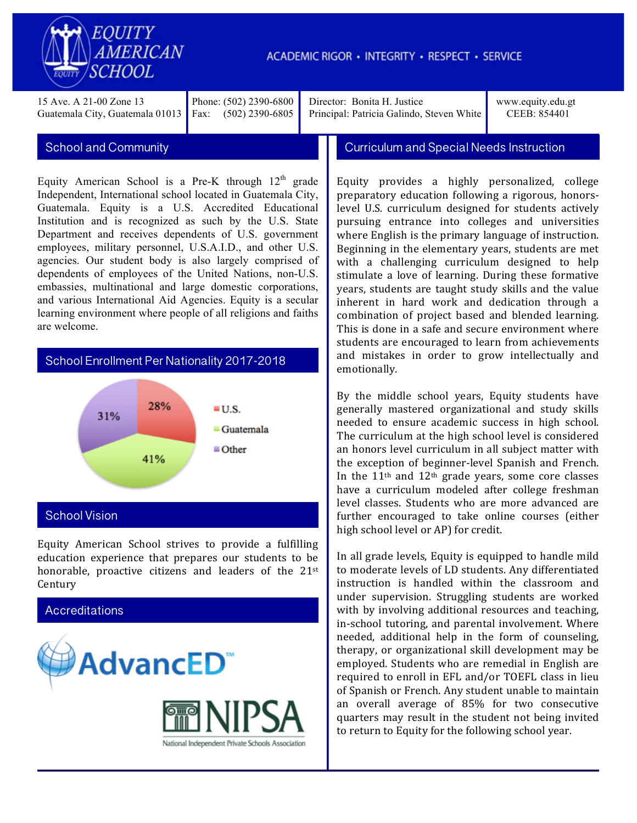

15 Ave. A 21-00 Zone 13 Guatemala City, Guatemala 01013

Phone: (502) 2390-6800 Fax: (502) 2390-6805

Director: Bonita H. Justice Principal: Patricia Galindo, Steven White www.equity.edu.gt CEEB: 854401

Equity American School is a Pre-K through  $12<sup>th</sup>$  grade Independent, International school located in Guatemala City, Guatemala. Equity is a U.S. Accredited Educational Institution and is recognized as such by the U.S. State Department and receives dependents of U.S. government employees, military personnel, U.S.A.I.D., and other U.S. agencies. Our student body is also largely comprised of dependents of employees of the United Nations, non-U.S. embassies, multinational and large domestic corporations, and various International Aid Agencies. Equity is a secular learning environment where people of all religions and faiths are welcome.

## School Enrollment Per Nationality 2017-2018



## School Vision

Equity American School strives to provide a fulfilling education experience that prepares our students to be honorable, proactive citizens and leaders of the  $21^{st}$ Century



School and Community Curriculum and Special Needs Instruction

Equity provides a highly personalized, college preparatory education following a rigorous, honorslevel U.S. curriculum designed for students actively pursuing entrance into colleges and universities where English is the primary language of instruction. Beginning in the elementary years, students are met with a challenging curriculum designed to help stimulate a love of learning. During these formative years, students are taught study skills and the value inherent in hard work and dedication through a combination of project based and blended learning. This is done in a safe and secure environment where students are encouraged to learn from achievements and mistakes in order to grow intellectually and emotionally. 

By the middle school years, Equity students have generally mastered organizational and study skills needed to ensure academic success in high school. The curriculum at the high school level is considered an honors level curriculum in all subject matter with the exception of beginner-level Spanish and French. In the  $11<sup>th</sup>$  and  $12<sup>th</sup>$  grade years, some core classes have a curriculum modeled after college freshman level classes. Students who are more advanced are further encouraged to take online courses (either high school level or AP) for credit.

In all grade levels, Equity is equipped to handle mild to moderate levels of LD students. Any differentiated instruction is handled within the classroom and under supervision. Struggling students are worked with by involving additional resources and teaching, in-school tutoring, and parental involvement. Where needed, additional help in the form of counseling, therapy, or organizational skill development may be employed. Students who are remedial in English are required to enroll in EFL and/or TOEFL class in lieu of Spanish or French. Any student unable to maintain an overall average of 85% for two consecutive quarters may result in the student not being invited to return to Equity for the following school year.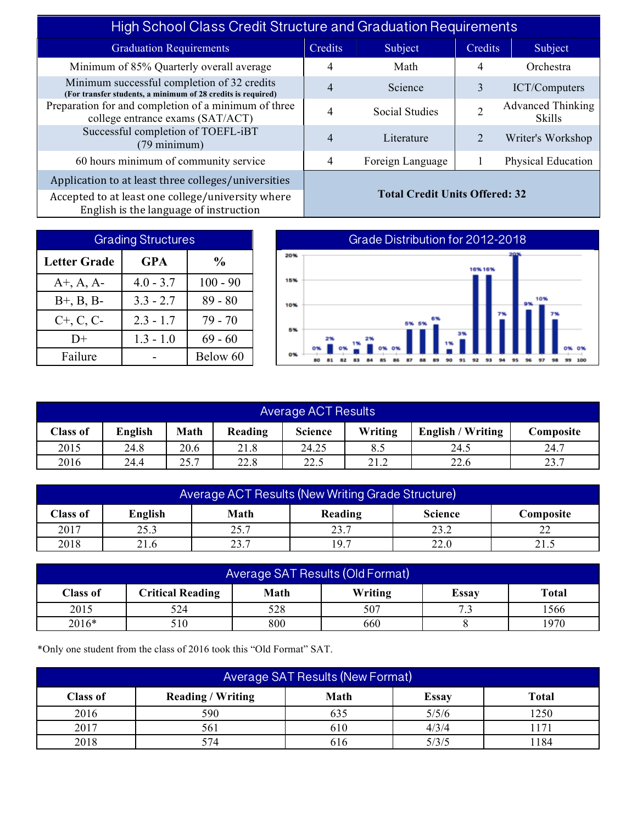| <b>High School Class Credit Structure and Graduation Requirements</b>                                       |                                       |                  |         |                                           |  |
|-------------------------------------------------------------------------------------------------------------|---------------------------------------|------------------|---------|-------------------------------------------|--|
| <b>Graduation Requirements</b>                                                                              | Credits                               | Subject          | Credits | Subject                                   |  |
| Minimum of 85% Quarterly overall average                                                                    | 4                                     | Math             | 4       | Orchestra                                 |  |
| Minimum successful completion of 32 credits<br>(For transfer students, a minimum of 28 credits is required) | 4                                     | Science          | 3       | ICT/Computers                             |  |
| Preparation for and completion of a minimum of three<br>college entrance exams (SAT/ACT)                    | 4                                     | Social Studies   | ◠       | <b>Advanced Thinking</b><br><b>Skills</b> |  |
| Successful completion of TOEFL-iBT<br>$(79 \text{ minimum})$                                                | 4                                     | Literature       |         | Writer's Workshop                         |  |
| 60 hours minimum of community service                                                                       | 4                                     | Foreign Language |         | <b>Physical Education</b>                 |  |
| Application to at least three colleges/universities                                                         |                                       |                  |         |                                           |  |
| Accepted to at least one college/university where<br>English is the language of instruction                 | <b>Total Credit Units Offered: 32</b> |                  |         |                                           |  |

| <b>Grading Structures</b> |               |            |  |  |  |
|---------------------------|---------------|------------|--|--|--|
| <b>Letter Grade</b>       | $\frac{0}{0}$ |            |  |  |  |
| $A^+$ , A, A-             | $4.0 - 3.7$   | $100 - 90$ |  |  |  |
| $B^{+}$ , $B$ , $B^{-}$   | $3.3 - 2.7$   | $89 - 80$  |  |  |  |
| $C+, C, C-$               | $2.3 - 1.7$   | $79 - 70$  |  |  |  |
| $D+$                      | $1.3 - 1.0$   | $69 - 60$  |  |  |  |
| Failure                   |               | Below 60   |  |  |  |

## Grade Distribution for 2012-2018 20% 16%16% 15% 10% 10% 6% 5% 2% 0% o% 92 93 97 87 áä 89  $91$ 94 95 96  $98$

| <b>Average ACT Results</b>                                                                                          |      |      |      |       |      |      |      |
|---------------------------------------------------------------------------------------------------------------------|------|------|------|-------|------|------|------|
| Math<br><b>Science</b><br>English<br>Writing<br>Reading<br><b>English / Writing</b><br><b>Class of</b><br>Composite |      |      |      |       |      |      |      |
| 2015                                                                                                                | 24.8 | 20.6 | 21.8 | 24.25 |      | 24.5 | 24.7 |
| 2016                                                                                                                | 24.4 | 25.7 | 22.8 | 22.5  | 21.2 | 22.6 | 23.7 |

| Average ACT Results (New Writing Grade Structure)              |      |               |      |      |    |  |
|----------------------------------------------------------------|------|---------------|------|------|----|--|
| Math<br>English<br>Class of<br>Reading<br>Science<br>Composite |      |               |      |      |    |  |
| 2017                                                           | 25.3 | つく つ<br>۷. به | 23.7 | 23.2 | າາ |  |
| 2018                                                           | 21.6 | 23.7          | 19.7 | 22.0 |    |  |

| Average SAT Results (Old Format)                                                              |     |     |     |  |      |  |
|-----------------------------------------------------------------------------------------------|-----|-----|-----|--|------|--|
| <b>Total</b><br><b>Critical Reading</b><br>Math<br>Writing<br><b>Class of</b><br><b>Essay</b> |     |     |     |  |      |  |
| 2015                                                                                          | 524 | 528 | 507 |  | 1566 |  |
| 2016*<br>800<br>1970<br>660<br>510                                                            |     |     |     |  |      |  |

\*Only one student from the class of 2016 took this "Old Format" SAT.

| Average SAT Results (New Format) |                                                                  |     |       |       |  |  |  |  |
|----------------------------------|------------------------------------------------------------------|-----|-------|-------|--|--|--|--|
| <b>Class of</b>                  | <b>Reading / Writing</b><br>Math<br><b>Total</b><br><b>Essay</b> |     |       |       |  |  |  |  |
| 2016                             | 590                                                              | 635 | 5/5/6 | 1250  |  |  |  |  |
| 2017                             | 561                                                              | 610 | 4/3/4 |       |  |  |  |  |
| 2018                             | 574                                                              | 616 | 5/3/5 | ! 184 |  |  |  |  |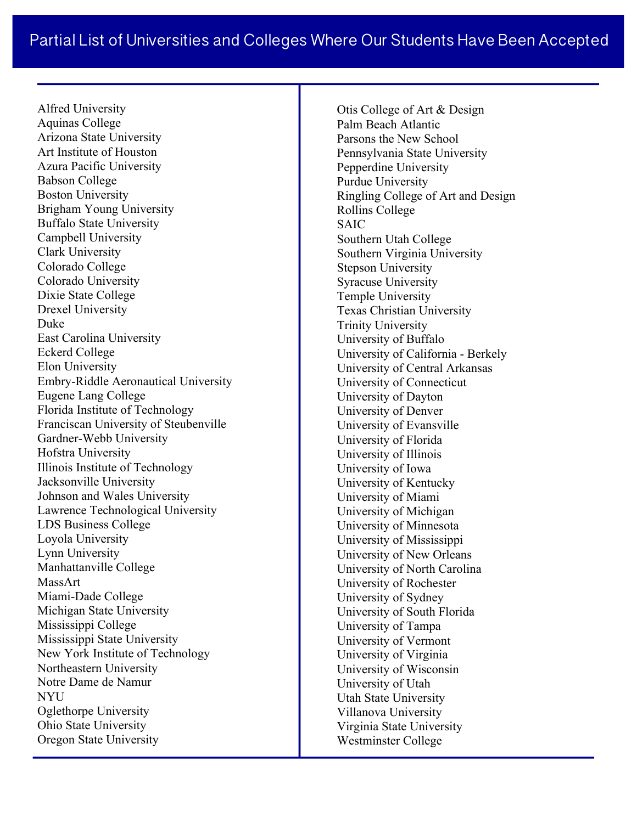Alfred University Aquinas College Arizona State University Art Institute of Houston Azura Pacific University Babson College Boston University Brigham Young University Buffalo State University Campbell University Clark University Colorado College Colorado University Dixie State College Drexel University Duke East Carolina University Eckerd College Elon University Embry-Riddle Aeronautical University Eugene Lang College Florida Institute of Technology Franciscan University of Steubenville Gardner-Webb University Hofstra University Illinois Institute of Technology Jacksonville University Johnson and Wales University Lawrence Technological University LDS Business College Loyola University Lynn University Manhattanville College MassArt Miami-Dade College Michigan State University Mississippi College Mississippi State University New York Institute of Technology Northeastern University Notre Dame de Namur NYU Oglethorpe University Ohio State University Oregon State University

Otis College of Art & Design Palm Beach Atlantic Parsons the New School Pennsylvania State University Pepperdine University Purdue University Ringling College of Art and Design Rollins College SAIC Southern Utah College Southern Virginia University Stepson University Syracuse University Temple University Texas Christian University Trinity University University of Buffalo University of California - Berkely University of Central Arkansas University of Connecticut University of Dayton University of Denver University of Evansville University of Florida University of Illinois University of Iowa University of Kentucky University of Miami University of Michigan University of Minnesota University of Mississippi University of New Orleans University of North Carolina University of Rochester University of Sydney University of South Florida University of Tampa University of Vermont University of Virginia University of Wisconsin University of Utah Utah State University Villanova University Virginia State University Westminster College